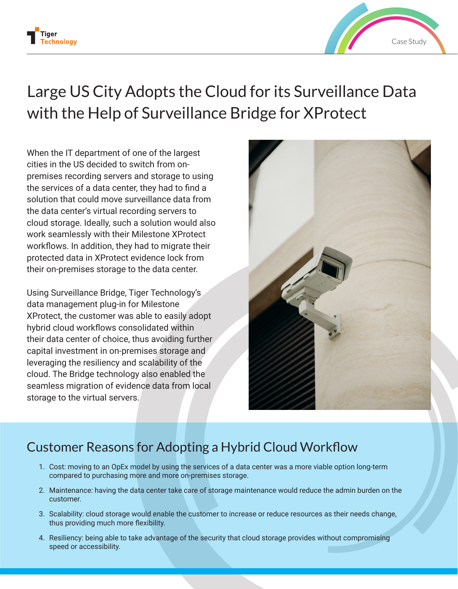



# Large US City Adopts the Cloud for its Surveillance Data with the Help of Surveillance Bridge for XProtect

When the IT department of one of the largest cities in the US decided to switch from onpremises recording servers and storage to using the services of a data center, they had to find a solution that could move surveillance data from the data center's virtual recording servers to cloud storage. Ideally, such a solution would also work seamlessly with their Milestone XProtect workflows. In addition, they had to migrate their protected data in XProtect evidence lock from their on-premises storage to the data center.

Using Surveillance Bridge, Tiger Technology's data management plug-in for Milestone XProtect, the customer was able to easily adopt hybrid cloud workflows consolidated within their data center of choice, thus avoiding further capital investment in on-premises storage and leveraging the resiliency and scalability of the cloud. The Bridge technology also enabled the seamless migration of evidence data from local storage to the virtual servers.



## Customer Reasons for Adopting a Hybrid Cloud Workflow

- 1. Cost: moving to an OpEx model by using the services of a data center was a more viable option long-term compared to purchasing more and more on-premises storage.
- 2. Maintenance: having the data center take care of storage maintenance would reduce the admin burden on the customer.
- 3. Scalability: cloud storage would enable the customer to increase or reduce resources as their needs change, thus providing much more flexibility.
- 4. Resiliency: being able to take advantage of the security that cloud storage provides without compromising speed or accessibility.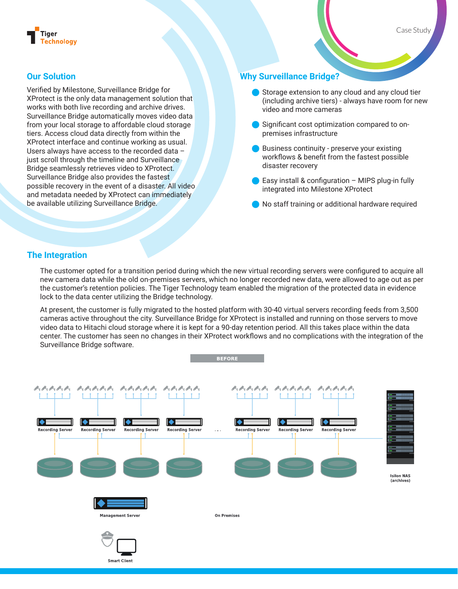

#### **Our Solution**

Verified by Milestone, Surveillance Bridge for XProtect is the only data management solution that works with both live recording and archive drives. Surveillance Bridge automatically moves video data from your local storage to affordable cloud storage tiers. Access cloud data directly from within the XProtect interface and continue working as usual. Users always have access to the recorded data – just scroll through the timeline and Surveillance Bridge seamlessly retrieves video to XProtect. Surveillance Bridge also provides the fastest possible recovery in the event of a disaster. All video and metadata needed by XProtect can immediately be available utilizing Surveillance Bridge.

#### **Why Surveillance Bridge?**

- Storage extension to any cloud and any cloud tier (including archive tiers) - always have room for new video and more cameras
- Q Significant cost optimization compared to onpremises infrastructure
- Q Business continuity preserve your existing workflows & benefit from the fastest possible disaster recovery
- $\bullet$  Easy install & configuration MIPS plug-in fully integrated into Milestone XProtect
- Q No staff training or additional hardware required

#### **The Integration**

The customer opted for a transition period during which the new virtual recording servers were configured to acquire all new camera data while the old on-premises servers, which no longer recorded new data, were allowed to age out as per the customer's retention policies. The Tiger Technology team enabled the migration of the protected data in evidence lock to the data center utilizing the Bridge technology.

At present, the customer is fully migrated to the hosted platform with 30-40 virtual servers recording feeds from 3,500 cameras active throughout the city. Surveillance Bridge for XProtect is installed and running on those servers to move video data to Hitachi cloud storage where it is kept for a 90-day retention period. All this takes place within the data center. The customer has seen no changes in their XProtect workflows and no complications with the integration of the Surveillance Bridge software.